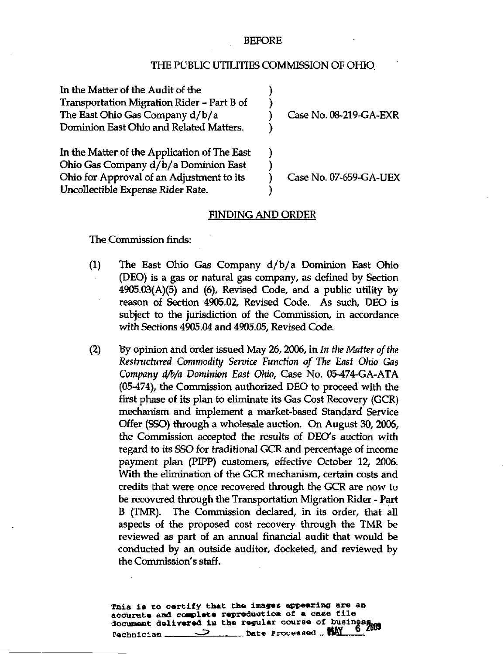## BEFORE

## THE PUBLIC UTILITIES COMMISSION OF OHIO

| In the Matter of the Audit of the            |                        |
|----------------------------------------------|------------------------|
| Transportation Migration Rider – Part B of   |                        |
| The East Ohio Gas Company d/b/a              | Case No. 08-219-GA-EXR |
| Dominion East Ohio and Related Matters.      |                        |
| In the Matter of the Application of The East |                        |
| Ohio Gas Company d/b/a Dominion East         |                        |
| Ohio for Approval of an Adjustment to its    | Case No. 07-659-GA-UEX |
| Uncollectible Expense Rider Rate.            |                        |

## FINDING AND ORDER

The Commission finds:

- (1) The East Ohio Gas Company d/b/ a Dominion East Ohio (DEO) is a gas or natural gas company, as defined by Section 4905.03(A)(5) and (6), Revised Code, and a public utility by reason of Section 4905.02, Revised Code. As such, DEO is subject to the jurisdiction of the Commission, in accordance with Sections 4905.04 and 4905.05, Revised Code.
- (2) By opinion and order issued May 26, 2006, in In the Matter of the Restructured Commodity Service Function of The East Ohio Gas Company d/b/a Dominion East Ohio, Case No. 05-474-GA-ATA (05-474), the Commission authorized DEO to proceed with the first phase of its plan to eliminate its Gas Cost Recovery (GCR) mechanism and implement a market-based Standard Service Offer (SSO) through a wholesale auction. On August 30, 2006, the Commission accepted the results of DEO's auction with regard to its SSO for traditional GCR and percentage of income payment plan (PIPP) customers, effective October 12, 2006. With the elimination of the GCR mechanism, certain costs and credits that were once recovered through the GCR are now to be recovered through the Transportation Migration Rider - Part B (TMR). The Commission declared, in its order, that all aspects of the proposed cost recovery through the TMR be reviewed as part of an annual financial audit that would be conducted by an outside auditor, docketed, and reviewed by the Commission's staff.

This is to certify that the images appearing are an accurate and complete reproduction of a case file accurate and complete are expressed.  $r_{\text{echnician}} \geq$  Date Processed  $_{\text{L}}$  HAY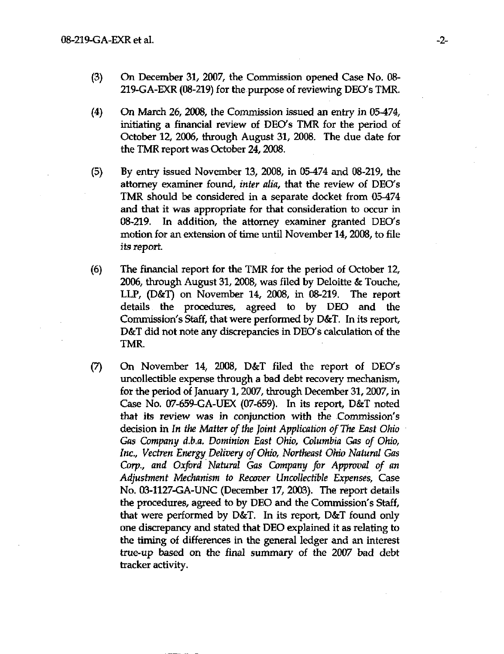- (3) Cn December 31, 2007, the Commission opened Case No. 08-219-GA-EXR (08-219) for the purpose of reviewing DEO's TMR.
- (4) On March 26, 2008, the Commission issued an entry in 05-474, initiating a financial review of DEO's TMR for the period of October 12, 2006, through August 31, 2008. The due date for the TMR report was October 24, 2008.
- (5) By entry issued November 13, 2008, in 05-474 and 08-219, the attomey examiner found, inter alia, that the review of DEO's TMR should be considered in a separate docket from 05-474 and that it was appropriate for that consideration to occur in 08-219. In addition, the attomey examiner granted DEO's motion for an extension of time until November 14,2008, to file its report.
- (6) The financial report for the TMR for the period of October 12, 2006, through August 31, 2008, was filed by Deloitte & Touche, LLP, (D&T) on November 14, 2008, in 08-219. The report details the procedures, agreed to by DEO and the Commission's Staff, that were performed by D&T. In its report, D&T did not note any discrepancies in DEO's calculation of the TMR.
- (7) On November 14, 2008, D&T filed the report of DEO's uncollectible expense through a bad debt recovery mechanism, for the period of January 1,2007, through December 31,2007, in Case No. 07-659-GA-UEX (07-659). In its report, D&T noted that its review was in conjunction with the Commission's decision in In the Matter of the Joint Application of The East Ohio Gas Company d.b.a. Dominion East Ohio, Columbia Gas of Ohio, Inc., Vectren Energy Delivery of Ohio, Northeast Ohio Natural Gas Corp., and Oxford Natural Gas Company for Approval of an Adjustment Mechanism to Recover Uncollectible Expenses, Case No. 03-1127-GA-UNC (December 17, 2003). The report details the procedures, agreed to by DEO and the Commission's Staff, that were performed by D&T. In its report, D&T found only one discrepancy and stated that DEO explained it as relating to the timing of differences in the general ledger and an interest true-up based on the final summary of the 2007 bad debt tracker activity.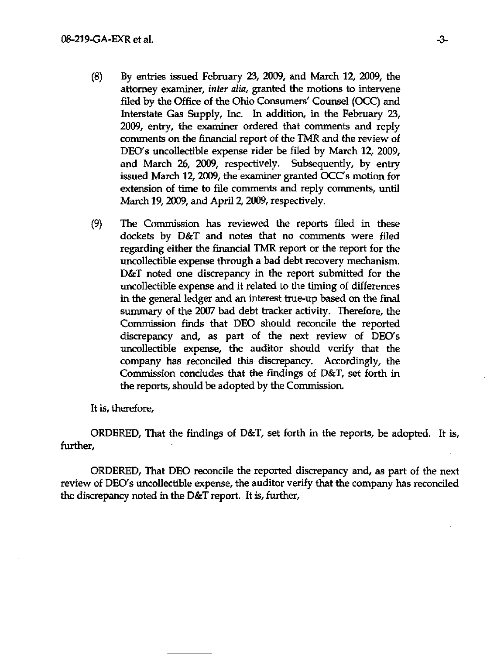- $(8)$  By entries issued February 23, 2009, and March 12, 2009, the attorney examiner, *inter alia*, granted the motions to intervene filed by the Office of the Ohio Consumers' Counsel (OCC) and Interstate Gas Supply, Inc. In addition, in the February 23, 2009, entry, the examiner ordered that comments and reply comments on the financial report of the TMR and the review of DEO's uncollectible expense rider be filed by March 12, 2009, and March 26, 2009, respectively. Subsequently, by entry issued March 12, 2009, the examiner granted OCC's motion for extension of time to file comments and reply comments, until March 19, 2009, and April 2, 2009, respectively.
- (9) The Commission has reviewed the reports filed in these dockets by D&T and notes that no comments were filed regarding either the financial TMR report or the report for the uncollectible expense through a bad debt recovery mechanism. D&T noted one discrepancy in the report submitted for the uncollectible expense and it related to the timing of differences in the general ledger and an interest true-up based on the final summary of the 2007 bad debt tracker activity. Therefore, the Commission finds that DEO should reconcile the reported discrepancy and, as part of the next review of DEO's uncollectible expense, the auditor should verify that the company has reconciled this discrepancy. Accordingly, the Commission concludes that the findings of D&T, set forth in the reports, should be adopted by the Commission.

It is, therefore,

ORDERED, That the findings of D&T, set forth in the reports, be adopted. It is, further,

ORDERED, That DEO reconcile the reported discrepancy and, as part of the next review of DEO's uncollectible expense, the auditor verify that the company has reconciled the discrepancy noted in the D&T report. It is, further.